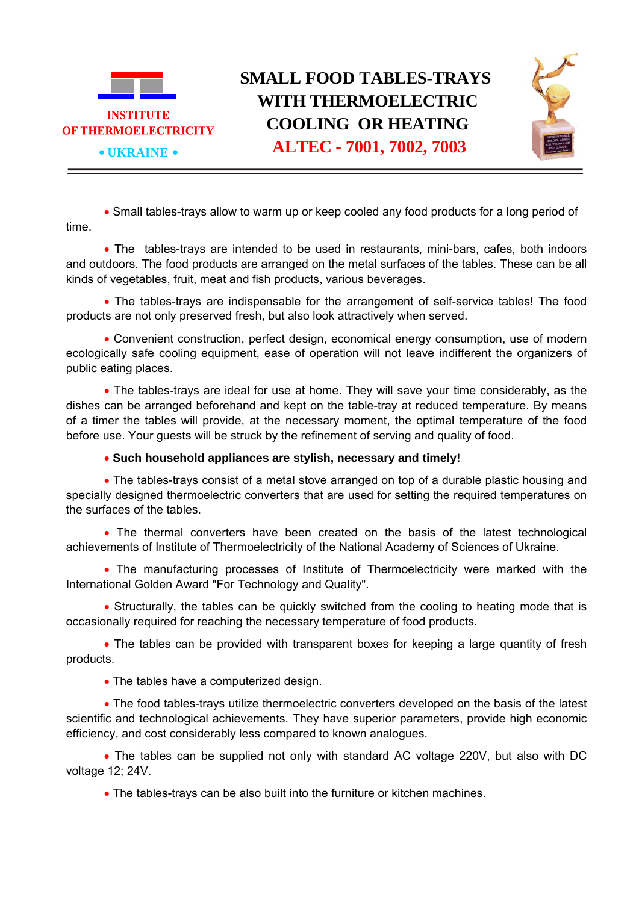

• Small tables-trays allow to warm up or keep cooled any food products for a long period of time.

• The tables-trays are intended to be used in restaurants, mini-bars, cafes, both indoors and outdoors. The food products are arranged on the metal surfaces of the tables. These can be all kinds of vegetables, fruit, meat and fish products, various beverages.

• The tables-trays are indispensable for the arrangement of self-service tables! The food products are not only preserved fresh, but also look attractively when served.

• Convenient construction, perfect design, economical energy consumption, use of modern ecologically safe cooling equipment, ease of operation will not leave indifferent the organizers of public eating places.

• The tables-trays are ideal for use at home. They will save your time considerably, as the dishes can be arranged beforehand and kept on the table-tray at reduced temperature. By means of a timer the tables will provide, at the necessary moment, the optimal temperature of the food before use. Your guests will be struck by the refinement of serving and quality of food.

• **Such household appliances are stylish, necessary and timely!**

• The tables-trays consist of a metal stove arranged on top of a durable plastic housing and specially designed thermoelectric converters that are used for setting the required temperatures on the surfaces of the tables.

• The thermal converters have been created on the basis of the latest technological achievements of Institute of Thermoelectricity of the National Academy of Sciences of Ukraine.

• The manufacturing processes of Institute of Thermoelectricity were marked with the International Golden Award "For Technology and Quality".

• Structurally, the tables can be quickly switched from the cooling to heating mode that is occasionally required for reaching the necessary temperature of food products.

• The tables can be provided with transparent boxes for keeping a large quantity of fresh products.

• The tables have a computerized design.

• The food tables-trays utilize thermoelectric converters developed on the basis of the latest scientific and technological achievements. They have superior parameters, provide high economic efficiency, and cost considerably less compared to known analogues.

• The tables can be supplied not only with standard AC voltage 220V, but also with DC voltage 12; 24V.

• The tables-trays can be also built into the furniture or kitchen machines.